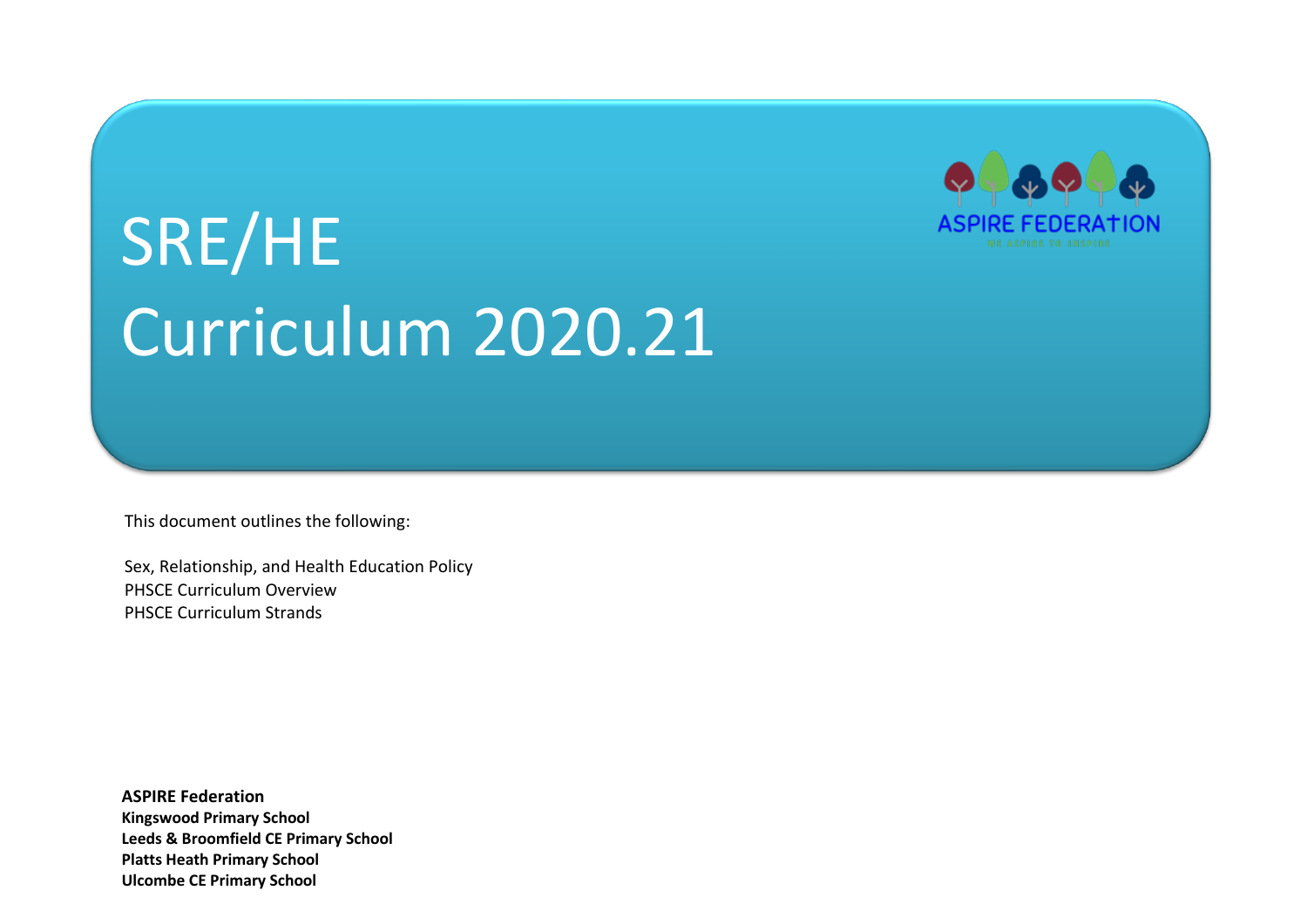

# SRE/HE Curriculum 2020.21

This document outlines the following:

Sex, Relationship, and Health Education Policy PHSCE Curriculum Overview PHSCE Curriculum Strands

**ASPIRE Federation Kingswood Primary School Leeds & Broomfield CE Primary School Platts Heath Primary School Ulcombe CE Primary School**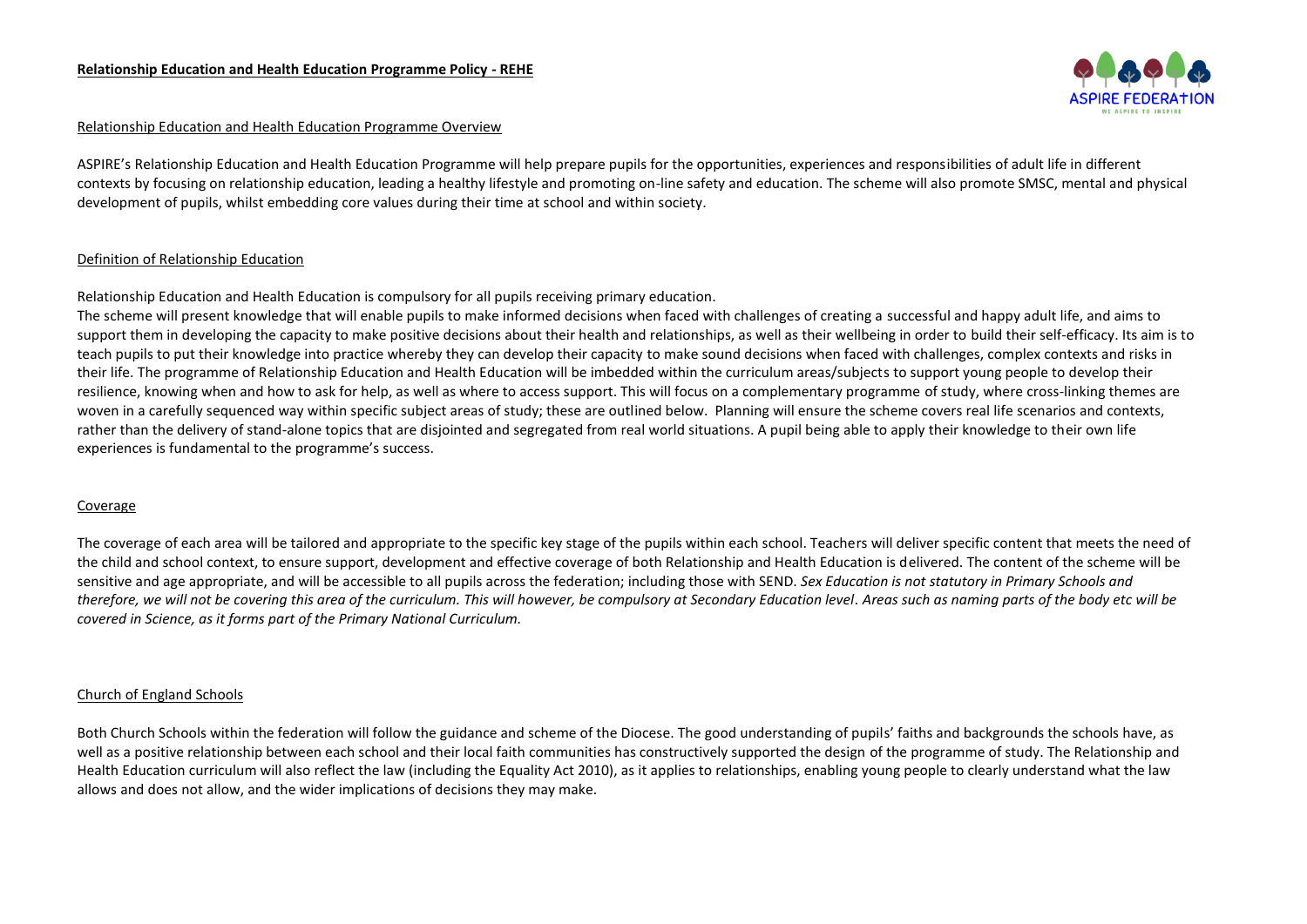

#### Relationship Education and Health Education Programme Overview

ASPIRE's Relationship Education and Health Education Programme will help prepare pupils for the opportunities, experiences and responsibilities of adult life in different contexts by focusing on relationship education, leading a healthy lifestyle and promoting on-line safety and education. The scheme will also promote SMSC, mental and physical development of pupils, whilst embedding core values during their time at school and within society.

#### Definition of Relationship Education

Relationship Education and Health Education is compulsory for all pupils receiving primary education.

The scheme will present knowledge that will enable pupils to make informed decisions when faced with challenges of creating a successful and happy adult life, and aims to support them in developing the capacity to make positive decisions about their health and relationships, as well as their wellbeing in order to build their self-efficacy. Its aim is to teach pupils to put their knowledge into practice whereby they can develop their capacity to make sound decisions when faced with challenges, complex contexts and risks in their life. The programme of Relationship Education and Health Education will be imbedded within the curriculum areas/subjects to support young people to develop their resilience, knowing when and how to ask for help, as well as where to access support. This will focus on a complementary programme of study, where cross-linking themes are woven in a carefully sequenced way within specific subject areas of study; these are outlined below. Planning will ensure the scheme covers real life scenarios and contexts, rather than the delivery of stand-alone topics that are disjointed and segregated from real world situations. A pupil being able to apply their knowledge to their own life experiences is fundamental to the programme's success.

#### Coverage

The coverage of each area will be tailored and appropriate to the specific key stage of the pupils within each school. Teachers will deliver specific content that meets the need of the child and school context, to ensure support, development and effective coverage of both Relationship and Health Education is delivered. The content of the scheme will be sensitive and age appropriate, and will be accessible to all pupils across the federation; including those with SEND. *Sex Education is not statutory in Primary Schools and therefore, we will not be covering this area of the curriculum. This will however, be compulsory at Secondary Education level. Areas such as naming parts of the body etc will be covered in Science, as it forms part of the Primary National Curriculum.*

#### Church of England Schools

Both Church Schools within the federation will follow the guidance and scheme of the Diocese. The good understanding of pupils' faiths and backgrounds the schools have, as well as a positive relationship between each school and their local faith communities has constructively supported the design of the programme of study. The Relationship and Health Education curriculum will also reflect the law (including the Equality Act 2010), as it applies to relationships, enabling young people to clearly understand what the law allows and does not allow, and the wider implications of decisions they may make.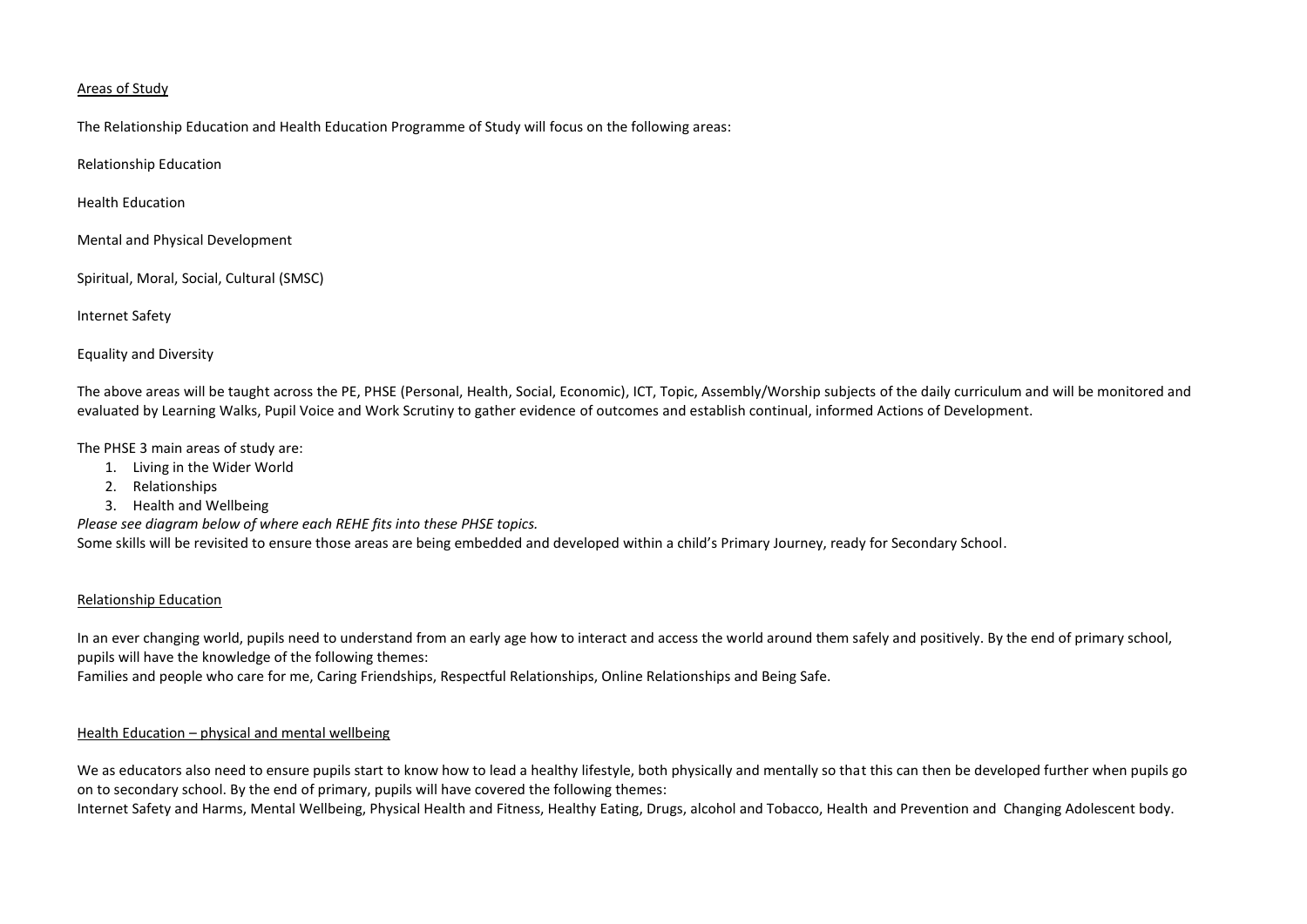#### Areas of Study

The Relationship Education and Health Education Programme of Study will focus on the following areas:

Relationship Education

Health Education

Mental and Physical Development

Spiritual, Moral, Social, Cultural (SMSC)

Internet Safety

Equality and Diversity

The above areas will be taught across the PE, PHSE (Personal, Health, Social, Economic), ICT, Topic, Assembly/Worship subjects of the daily curriculum and will be monitored and evaluated by Learning Walks, Pupil Voice and Work Scrutiny to gather evidence of outcomes and establish continual, informed Actions of Development.

The PHSE 3 main areas of study are:

- 1. Living in the Wider World
- 2. Relationships
- 3. Health and Wellbeing

*Please see diagram below of where each REHE fits into these PHSE topics.*

Some skills will be revisited to ensure those areas are being embedded and developed within a child's Primary Journey, ready for Secondary School.

#### Relationship Education

In an ever changing world, pupils need to understand from an early age how to interact and access the world around them safely and positively. By the end of primary school, pupils will have the knowledge of the following themes:

Families and people who care for me, Caring Friendships, Respectful Relationships, Online Relationships and Being Safe.

#### Health Education – physical and mental wellbeing

We as educators also need to ensure pupils start to know how to lead a healthy lifestyle, both physically and mentally so that this can then be developed further when pupils go on to secondary school. By the end of primary, pupils will have covered the following themes:

Internet Safety and Harms, Mental Wellbeing, Physical Health and Fitness, Healthy Eating, Drugs, alcohol and Tobacco, Health and Prevention and Changing Adolescent body.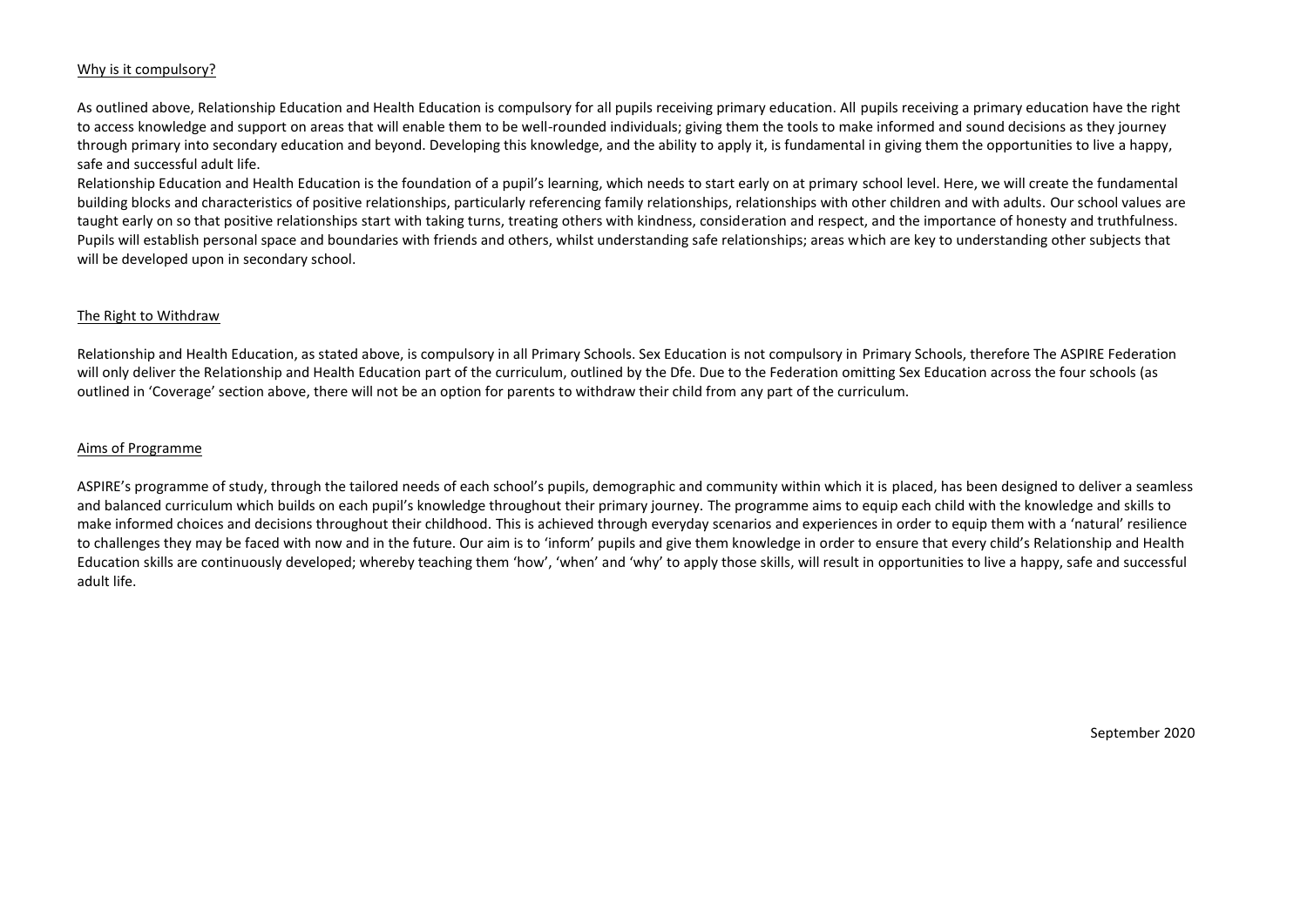#### Why is it compulsory?

As outlined above, Relationship Education and Health Education is compulsory for all pupils receiving primary education. All pupils receiving a primary education have the right to access knowledge and support on areas that will enable them to be well-rounded individuals; giving them the tools to make informed and sound decisions as they journey through primary into secondary education and beyond. Developing this knowledge, and the ability to apply it, is fundamental in giving them the opportunities to live a happy, safe and successful adult life.

Relationship Education and Health Education is the foundation of a pupil's learning, which needs to start early on at primary school level. Here, we will create the fundamental building blocks and characteristics of positive relationships, particularly referencing family relationships, relationships with other children and with adults. Our school values are taught early on so that positive relationships start with taking turns, treating others with kindness, consideration and respect, and the importance of honesty and truthfulness. Pupils will establish personal space and boundaries with friends and others, whilst understanding safe relationships; areas which are key to understanding other subjects that will be developed upon in secondary school.

#### The Right to Withdraw

Relationship and Health Education, as stated above, is compulsory in all Primary Schools. Sex Education is not compulsory in Primary Schools, therefore The ASPIRE Federation will only deliver the Relationship and Health Education part of the curriculum, outlined by the Dfe. Due to the Federation omitting Sex Education across the four schools (as outlined in 'Coverage' section above, there will not be an option for parents to withdraw their child from any part of the curriculum.

#### Aims of Programme

ASPIRE's programme of study, through the tailored needs of each school's pupils, demographic and community within which it is placed, has been designed to deliver a seamless and balanced curriculum which builds on each pupil's knowledge throughout their primary journey. The programme aims to equip each child with the knowledge and skills to make informed choices and decisions throughout their childhood. This is achieved through everyday scenarios and experiences in order to equip them with a 'natural' resilience to challenges they may be faced with now and in the future. Our aim is to 'inform' pupils and give them knowledge in order to ensure that every child's Relationship and Health Education skills are continuously developed; whereby teaching them 'how', 'when' and 'why' to apply those skills, will result in opportunities to live a happy, safe and successful adult life.

September 2020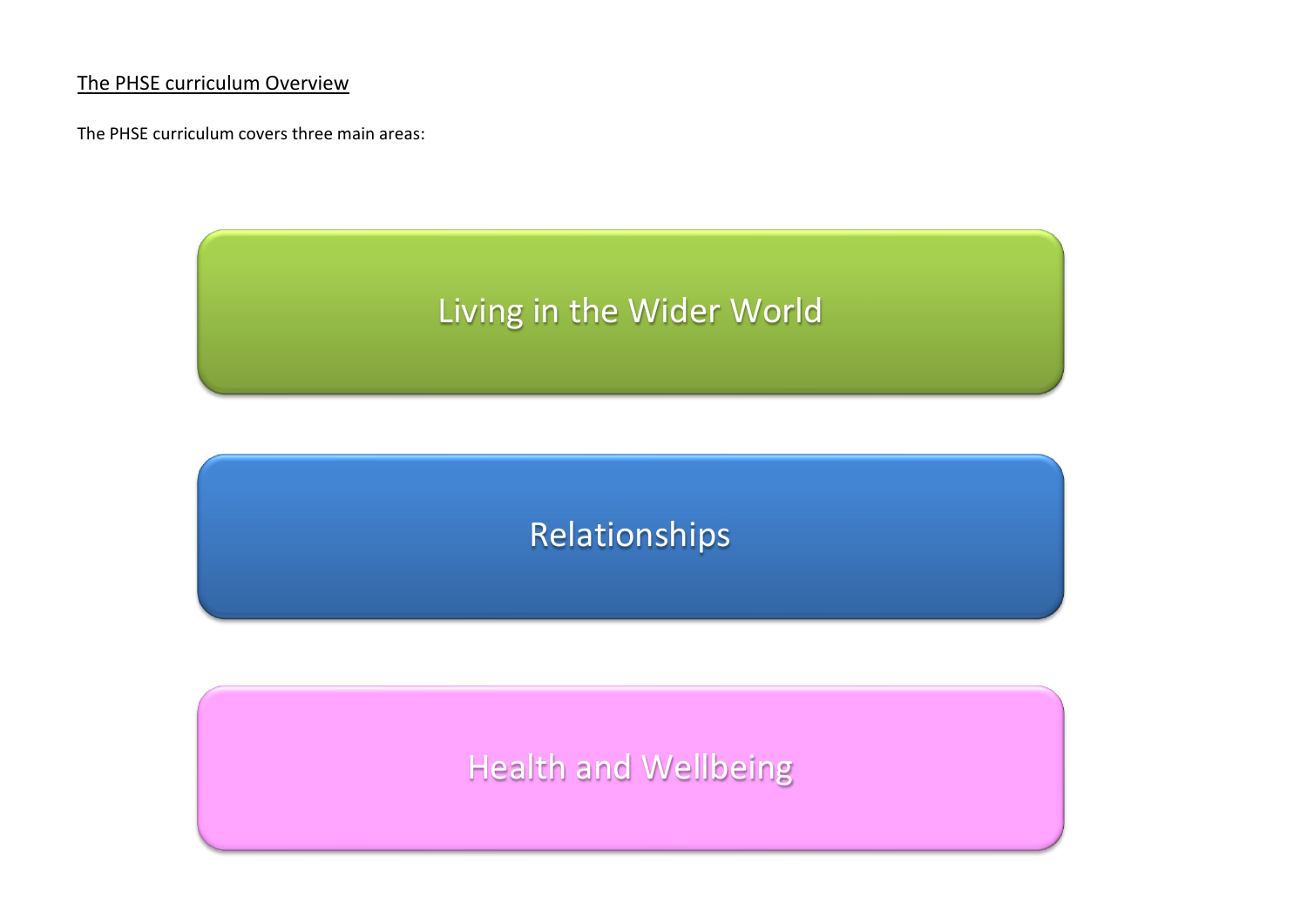## The PHSE curriculum Overview

The PHSE curriculum covers three main areas:

# Living in the Wider World

## Relationships

# Health and Wellbeing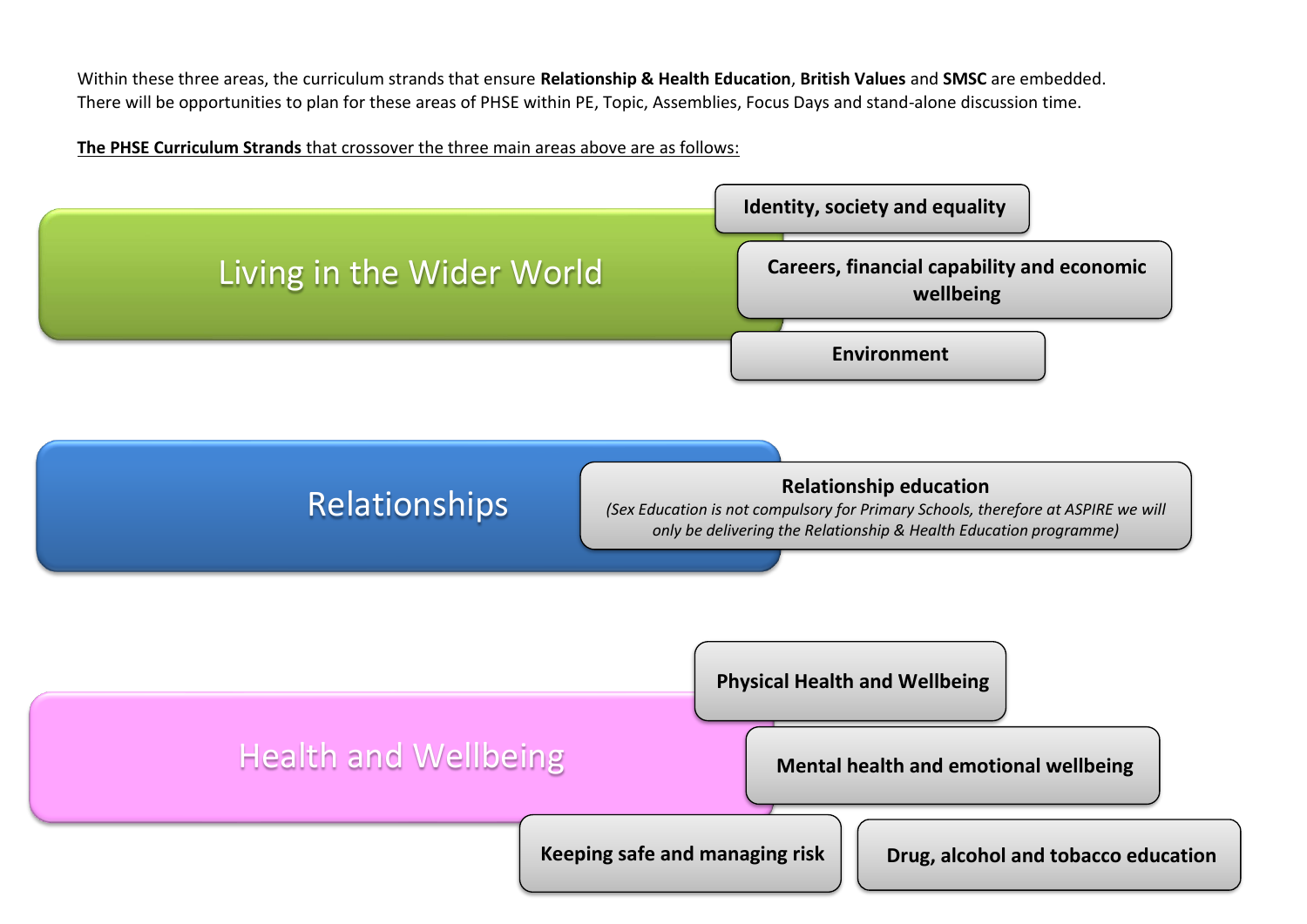Within these three areas, the curriculum strands that ensure **Relationship & Health Education**, **British Values** and **SMSC** are embedded. There will be opportunities to plan for these areas of PHSE within PE, Topic, Assemblies, Focus Days and stand-alone discussion time.

## **The PHSE Curriculum Strands** that crossover the three main areas above are as follows:

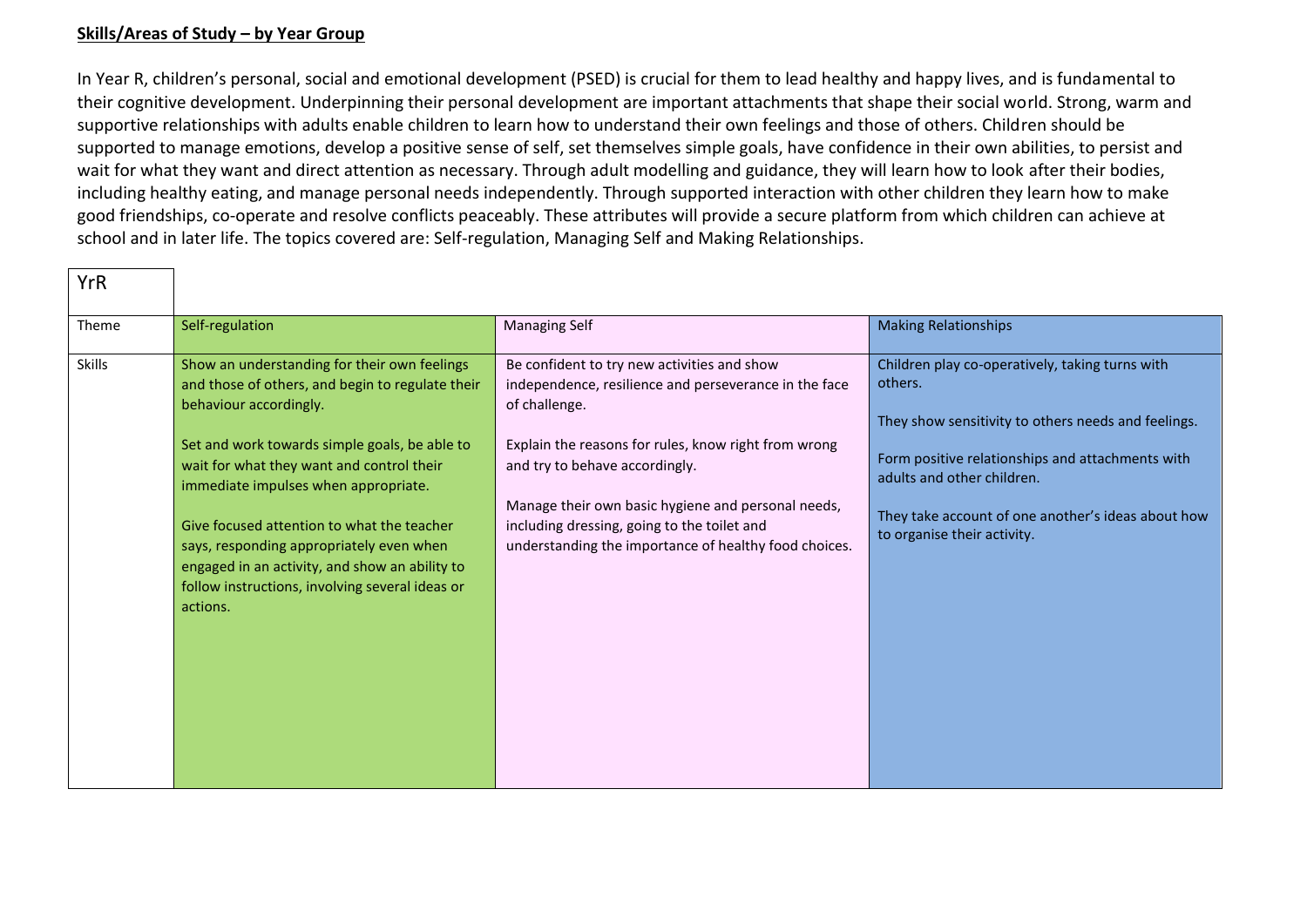### **Skills/Areas of Study – by Year Group**

In Year R, children's personal, social and emotional development (PSED) is crucial for them to lead healthy and happy lives, and is fundamental to their cognitive development. Underpinning their personal development are important attachments that shape their social world. Strong, warm and supportive relationships with adults enable children to learn how to understand their own feelings and those of others. Children should be supported to manage emotions, develop a positive sense of self, set themselves simple goals, have confidence in their own abilities, to persist and wait for what they want and direct attention as necessary. Through adult modelling and guidance, they will learn how to look after their bodies, including healthy eating, and manage personal needs independently. Through supported interaction with other children they learn how to make good friendships, co-operate and resolve conflicts peaceably. These attributes will provide a secure platform from which children can achieve at school and in later life. The topics covered are: Self-regulation, Managing Self and Making Relationships.

| <b>YrR</b>    |                                                                                                                                                                                                         |                                                                                                                                              |                                                                                                                   |
|---------------|---------------------------------------------------------------------------------------------------------------------------------------------------------------------------------------------------------|----------------------------------------------------------------------------------------------------------------------------------------------|-------------------------------------------------------------------------------------------------------------------|
| Theme         | Self-regulation                                                                                                                                                                                         | <b>Managing Self</b>                                                                                                                         | <b>Making Relationships</b>                                                                                       |
| <b>Skills</b> | Show an understanding for their own feelings<br>and those of others, and begin to regulate their<br>behaviour accordingly.                                                                              | Be confident to try new activities and show<br>independence, resilience and perseverance in the face<br>of challenge.                        | Children play co-operatively, taking turns with<br>others.<br>They show sensitivity to others needs and feelings. |
|               | Set and work towards simple goals, be able to<br>wait for what they want and control their<br>immediate impulses when appropriate.                                                                      | Explain the reasons for rules, know right from wrong<br>and try to behave accordingly.<br>Manage their own basic hygiene and personal needs, | Form positive relationships and attachments with<br>adults and other children.                                    |
|               | Give focused attention to what the teacher<br>says, responding appropriately even when<br>engaged in an activity, and show an ability to<br>follow instructions, involving several ideas or<br>actions. | including dressing, going to the toilet and<br>understanding the importance of healthy food choices.                                         | They take account of one another's ideas about how<br>to organise their activity.                                 |
|               |                                                                                                                                                                                                         |                                                                                                                                              |                                                                                                                   |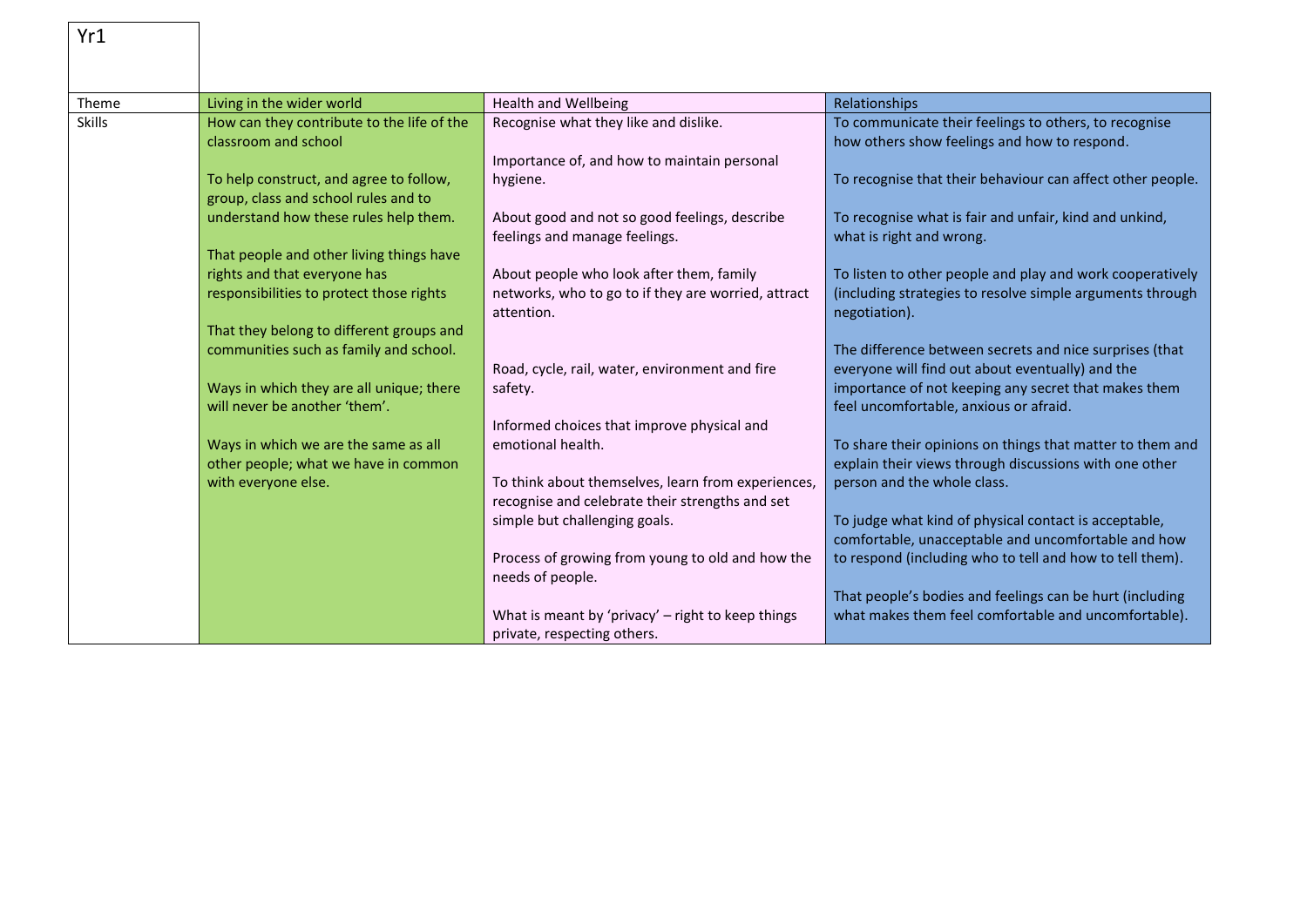| Yr1           |                                                                    |                                                                                |                                                                                                       |
|---------------|--------------------------------------------------------------------|--------------------------------------------------------------------------------|-------------------------------------------------------------------------------------------------------|
|               |                                                                    |                                                                                |                                                                                                       |
| Theme         | Living in the wider world                                          | <b>Health and Wellbeing</b>                                                    | Relationships                                                                                         |
| <b>Skills</b> | How can they contribute to the life of the<br>classroom and school | Recognise what they like and dislike.                                          | To communicate their feelings to others, to recognise<br>how others show feelings and how to respond. |
|               |                                                                    | Importance of, and how to maintain personal                                    |                                                                                                       |
|               | To help construct, and agree to follow,                            | hygiene.                                                                       | To recognise that their behaviour can affect other people.                                            |
|               | group, class and school rules and to                               |                                                                                |                                                                                                       |
|               | understand how these rules help them.                              | About good and not so good feelings, describe<br>feelings and manage feelings. | To recognise what is fair and unfair, kind and unkind,<br>what is right and wrong.                    |
|               | That people and other living things have                           |                                                                                |                                                                                                       |
|               | rights and that everyone has                                       | About people who look after them, family                                       | To listen to other people and play and work cooperatively                                             |
|               | responsibilities to protect those rights                           | networks, who to go to if they are worried, attract                            | (including strategies to resolve simple arguments through                                             |
|               |                                                                    | attention.                                                                     | negotiation).                                                                                         |
|               | That they belong to different groups and                           |                                                                                |                                                                                                       |
|               | communities such as family and school.                             |                                                                                | The difference between secrets and nice surprises (that                                               |
|               |                                                                    | Road, cycle, rail, water, environment and fire                                 | everyone will find out about eventually) and the                                                      |
|               | Ways in which they are all unique; there                           | safety.                                                                        | importance of not keeping any secret that makes them                                                  |
|               | will never be another 'them'.                                      |                                                                                | feel uncomfortable, anxious or afraid.                                                                |
|               | Ways in which we are the same as all                               | Informed choices that improve physical and<br>emotional health.                | To share their opinions on things that matter to them and                                             |
|               | other people; what we have in common                               |                                                                                | explain their views through discussions with one other                                                |
|               | with everyone else.                                                | To think about themselves, learn from experiences,                             | person and the whole class.                                                                           |
|               |                                                                    | recognise and celebrate their strengths and set                                |                                                                                                       |
|               |                                                                    | simple but challenging goals.                                                  | To judge what kind of physical contact is acceptable,                                                 |
|               |                                                                    |                                                                                | comfortable, unacceptable and uncomfortable and how                                                   |
|               |                                                                    | Process of growing from young to old and how the                               | to respond (including who to tell and how to tell them).                                              |
|               |                                                                    | needs of people.                                                               |                                                                                                       |
|               |                                                                    |                                                                                | That people's bodies and feelings can be hurt (including                                              |
|               |                                                                    | What is meant by 'privacy' - right to keep things                              | what makes them feel comfortable and uncomfortable).                                                  |
|               |                                                                    | private, respecting others.                                                    |                                                                                                       |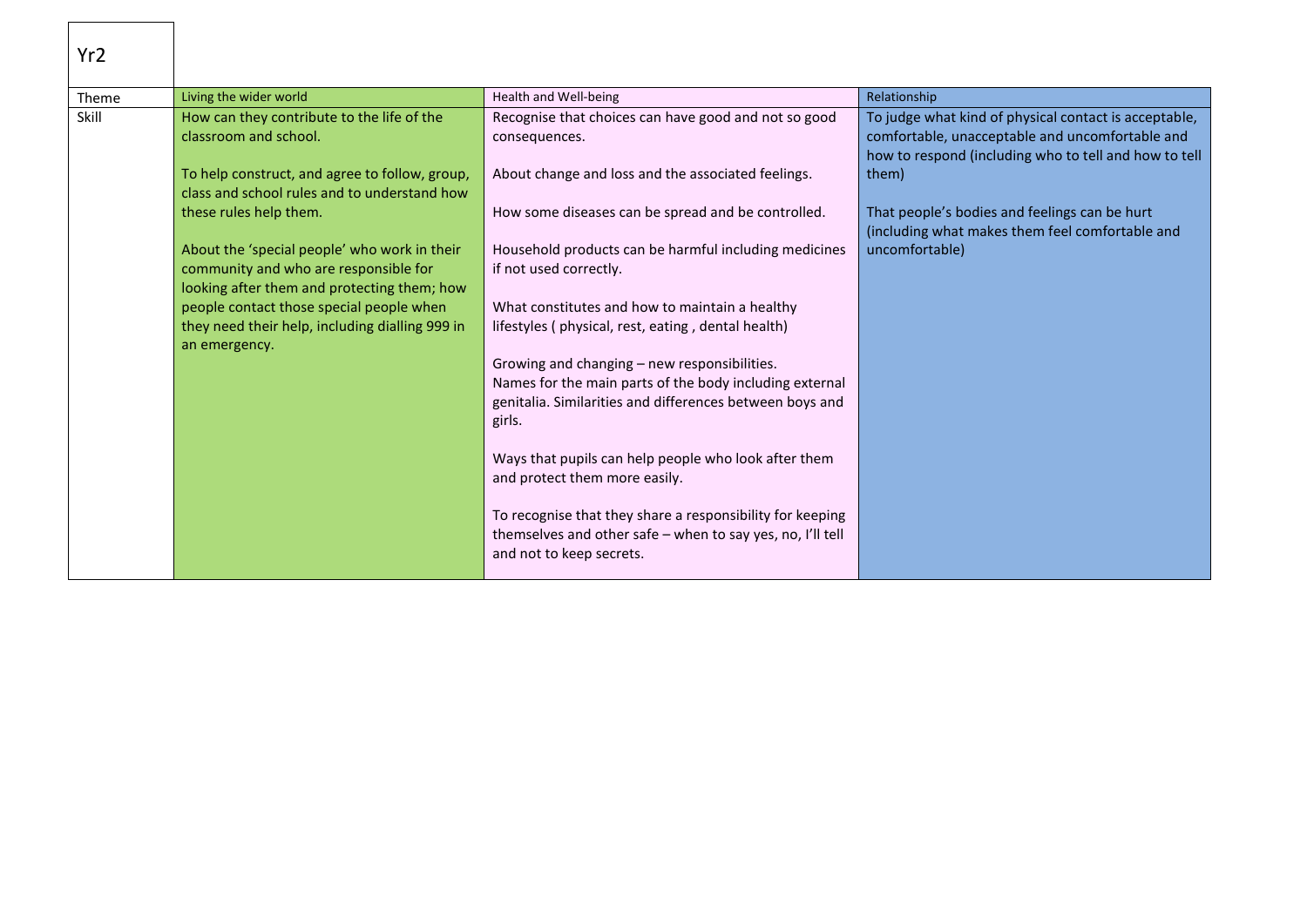| Yr <sub>2</sub> |                                                                                                                                      |                                                                                                                                                                               |                                                                                                                                                                   |
|-----------------|--------------------------------------------------------------------------------------------------------------------------------------|-------------------------------------------------------------------------------------------------------------------------------------------------------------------------------|-------------------------------------------------------------------------------------------------------------------------------------------------------------------|
| Theme           | Living the wider world                                                                                                               | Health and Well-being                                                                                                                                                         | Relationship                                                                                                                                                      |
| Skill           | How can they contribute to the life of the<br>classroom and school.                                                                  | Recognise that choices can have good and not so good<br>consequences.                                                                                                         | To judge what kind of physical contact is acceptable,<br>comfortable, unacceptable and uncomfortable and<br>how to respond (including who to tell and how to tell |
|                 | To help construct, and agree to follow, group,<br>class and school rules and to understand how                                       | About change and loss and the associated feelings.                                                                                                                            | them)                                                                                                                                                             |
|                 | these rules help them.                                                                                                               | How some diseases can be spread and be controlled.                                                                                                                            | That people's bodies and feelings can be hurt<br>(including what makes them feel comfortable and                                                                  |
|                 | About the 'special people' who work in their<br>community and who are responsible for<br>looking after them and protecting them; how | Household products can be harmful including medicines<br>if not used correctly.                                                                                               | uncomfortable)                                                                                                                                                    |
|                 | people contact those special people when<br>they need their help, including dialling 999 in<br>an emergency.                         | What constitutes and how to maintain a healthy<br>lifestyles (physical, rest, eating, dental health)                                                                          |                                                                                                                                                                   |
|                 |                                                                                                                                      | Growing and changing - new responsibilities.<br>Names for the main parts of the body including external<br>genitalia. Similarities and differences between boys and<br>girls. |                                                                                                                                                                   |
|                 |                                                                                                                                      | Ways that pupils can help people who look after them<br>and protect them more easily.                                                                                         |                                                                                                                                                                   |
|                 |                                                                                                                                      | To recognise that they share a responsibility for keeping<br>themselves and other safe - when to say yes, no, I'll tell<br>and not to keep secrets.                           |                                                                                                                                                                   |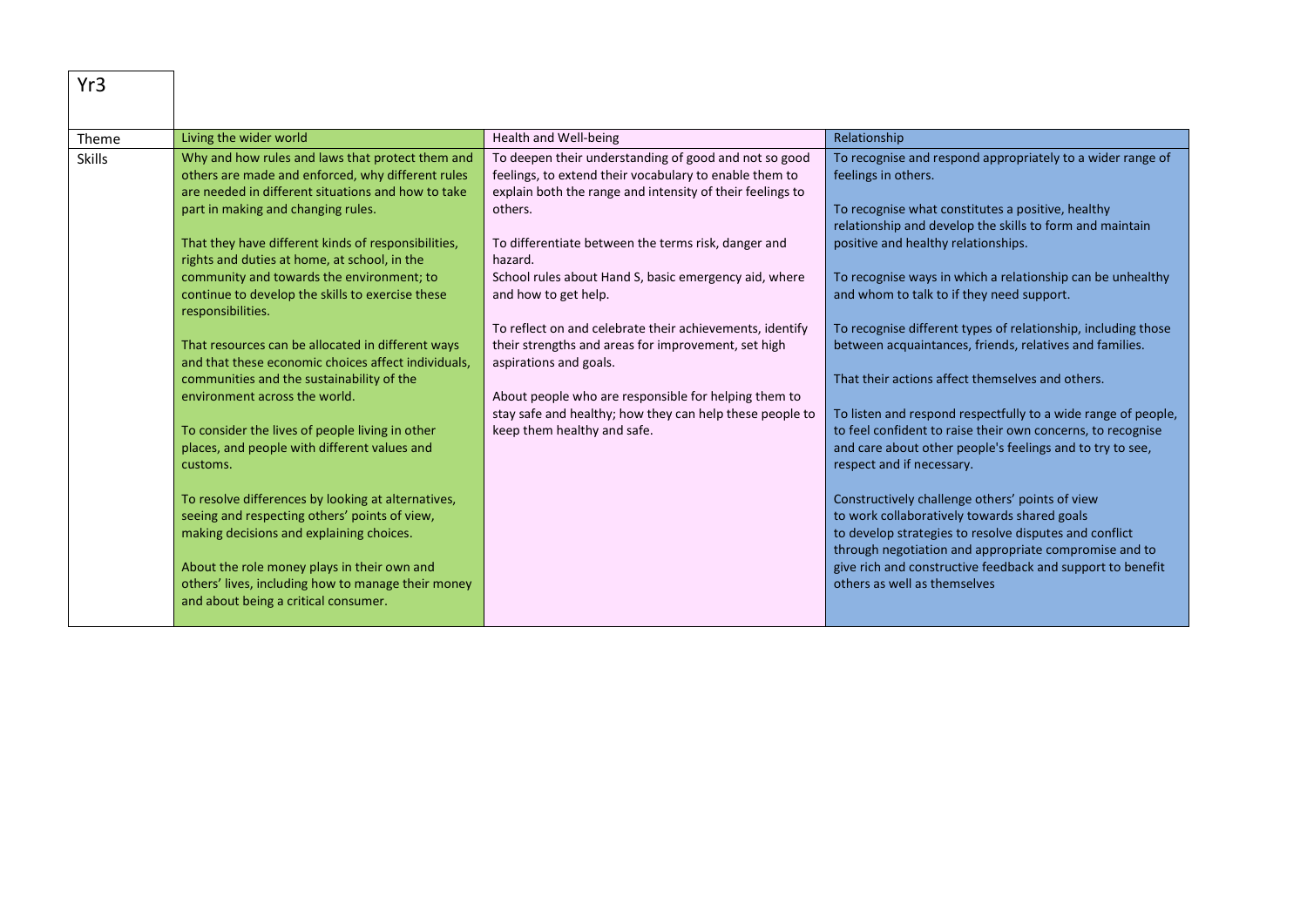| Yr3           |                                                                                                                                                                                                                                                                                                                                                                                                                                                                                                                                                                                                                                                                                                                                                                                                                                                                                                                                                                                                                                         |                                                                                                                                                                                                                                                                                                                                                                                                                                                                                                                                                                                                                                            |                                                                                                                                                                                                                                                                                                                                                                                                                                                                                                                                                                                                                                                                                                                                                                                                                                                                                                                                                                                                                                                                                    |
|---------------|-----------------------------------------------------------------------------------------------------------------------------------------------------------------------------------------------------------------------------------------------------------------------------------------------------------------------------------------------------------------------------------------------------------------------------------------------------------------------------------------------------------------------------------------------------------------------------------------------------------------------------------------------------------------------------------------------------------------------------------------------------------------------------------------------------------------------------------------------------------------------------------------------------------------------------------------------------------------------------------------------------------------------------------------|--------------------------------------------------------------------------------------------------------------------------------------------------------------------------------------------------------------------------------------------------------------------------------------------------------------------------------------------------------------------------------------------------------------------------------------------------------------------------------------------------------------------------------------------------------------------------------------------------------------------------------------------|------------------------------------------------------------------------------------------------------------------------------------------------------------------------------------------------------------------------------------------------------------------------------------------------------------------------------------------------------------------------------------------------------------------------------------------------------------------------------------------------------------------------------------------------------------------------------------------------------------------------------------------------------------------------------------------------------------------------------------------------------------------------------------------------------------------------------------------------------------------------------------------------------------------------------------------------------------------------------------------------------------------------------------------------------------------------------------|
| Theme         | Living the wider world                                                                                                                                                                                                                                                                                                                                                                                                                                                                                                                                                                                                                                                                                                                                                                                                                                                                                                                                                                                                                  | Health and Well-being                                                                                                                                                                                                                                                                                                                                                                                                                                                                                                                                                                                                                      | Relationship                                                                                                                                                                                                                                                                                                                                                                                                                                                                                                                                                                                                                                                                                                                                                                                                                                                                                                                                                                                                                                                                       |
| <b>Skills</b> | Why and how rules and laws that protect them and<br>others are made and enforced, why different rules<br>are needed in different situations and how to take<br>part in making and changing rules.<br>That they have different kinds of responsibilities,<br>rights and duties at home, at school, in the<br>community and towards the environment; to<br>continue to develop the skills to exercise these<br>responsibilities.<br>That resources can be allocated in different ways<br>and that these economic choices affect individuals,<br>communities and the sustainability of the<br>environment across the world.<br>To consider the lives of people living in other<br>places, and people with different values and<br>customs.<br>To resolve differences by looking at alternatives,<br>seeing and respecting others' points of view,<br>making decisions and explaining choices.<br>About the role money plays in their own and<br>others' lives, including how to manage their money<br>and about being a critical consumer. | To deepen their understanding of good and not so good<br>feelings, to extend their vocabulary to enable them to<br>explain both the range and intensity of their feelings to<br>others.<br>To differentiate between the terms risk, danger and<br>hazard.<br>School rules about Hand S, basic emergency aid, where<br>and how to get help.<br>To reflect on and celebrate their achievements, identify<br>their strengths and areas for improvement, set high<br>aspirations and goals.<br>About people who are responsible for helping them to<br>stay safe and healthy; how they can help these people to<br>keep them healthy and safe. | To recognise and respond appropriately to a wider range of<br>feelings in others.<br>To recognise what constitutes a positive, healthy<br>relationship and develop the skills to form and maintain<br>positive and healthy relationships.<br>To recognise ways in which a relationship can be unhealthy<br>and whom to talk to if they need support.<br>To recognise different types of relationship, including those<br>between acquaintances, friends, relatives and families.<br>That their actions affect themselves and others.<br>To listen and respond respectfully to a wide range of people,<br>to feel confident to raise their own concerns, to recognise<br>and care about other people's feelings and to try to see,<br>respect and if necessary.<br>Constructively challenge others' points of view<br>to work collaboratively towards shared goals<br>to develop strategies to resolve disputes and conflict<br>through negotiation and appropriate compromise and to<br>give rich and constructive feedback and support to benefit<br>others as well as themselves |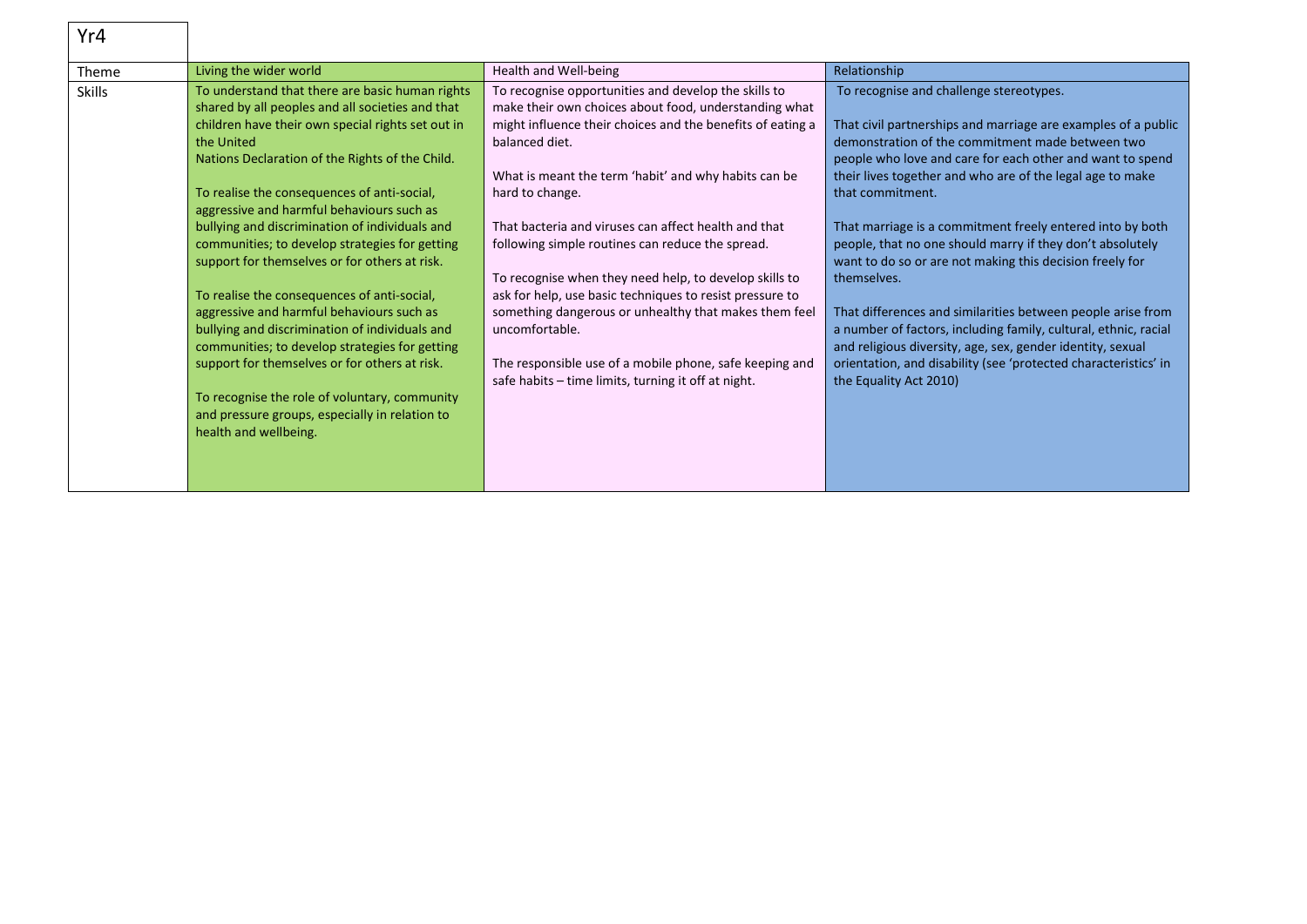| Yr4           |                                                                                                                                                                                                                                                                                                                                                                                                                                                                                                                                                                                                                                                                                                                                                                                                                                                         |                                                                                                                                                                                                                                                                                                                                                                                                                                                                                                                                                                                                                                                                                                         |                                                                                                                                                                                                                                                                                                                                                                                                                                                                                                                                                                                                                                                                                                                                                                                                              |
|---------------|---------------------------------------------------------------------------------------------------------------------------------------------------------------------------------------------------------------------------------------------------------------------------------------------------------------------------------------------------------------------------------------------------------------------------------------------------------------------------------------------------------------------------------------------------------------------------------------------------------------------------------------------------------------------------------------------------------------------------------------------------------------------------------------------------------------------------------------------------------|---------------------------------------------------------------------------------------------------------------------------------------------------------------------------------------------------------------------------------------------------------------------------------------------------------------------------------------------------------------------------------------------------------------------------------------------------------------------------------------------------------------------------------------------------------------------------------------------------------------------------------------------------------------------------------------------------------|--------------------------------------------------------------------------------------------------------------------------------------------------------------------------------------------------------------------------------------------------------------------------------------------------------------------------------------------------------------------------------------------------------------------------------------------------------------------------------------------------------------------------------------------------------------------------------------------------------------------------------------------------------------------------------------------------------------------------------------------------------------------------------------------------------------|
| Theme         | Living the wider world                                                                                                                                                                                                                                                                                                                                                                                                                                                                                                                                                                                                                                                                                                                                                                                                                                  | Health and Well-being                                                                                                                                                                                                                                                                                                                                                                                                                                                                                                                                                                                                                                                                                   | Relationship                                                                                                                                                                                                                                                                                                                                                                                                                                                                                                                                                                                                                                                                                                                                                                                                 |
| <b>Skills</b> | To understand that there are basic human rights<br>shared by all peoples and all societies and that<br>children have their own special rights set out in<br>the United<br>Nations Declaration of the Rights of the Child.<br>To realise the consequences of anti-social,<br>aggressive and harmful behaviours such as<br>bullying and discrimination of individuals and<br>communities; to develop strategies for getting<br>support for themselves or for others at risk.<br>To realise the consequences of anti-social,<br>aggressive and harmful behaviours such as<br>bullying and discrimination of individuals and<br>communities; to develop strategies for getting<br>support for themselves or for others at risk.<br>To recognise the role of voluntary, community<br>and pressure groups, especially in relation to<br>health and wellbeing. | To recognise opportunities and develop the skills to<br>make their own choices about food, understanding what<br>might influence their choices and the benefits of eating a<br>balanced diet.<br>What is meant the term 'habit' and why habits can be<br>hard to change.<br>That bacteria and viruses can affect health and that<br>following simple routines can reduce the spread.<br>To recognise when they need help, to develop skills to<br>ask for help, use basic techniques to resist pressure to<br>something dangerous or unhealthy that makes them feel<br>uncomfortable.<br>The responsible use of a mobile phone, safe keeping and<br>safe habits – time limits, turning it off at night. | To recognise and challenge stereotypes.<br>That civil partnerships and marriage are examples of a public<br>demonstration of the commitment made between two<br>people who love and care for each other and want to spend<br>their lives together and who are of the legal age to make<br>that commitment.<br>That marriage is a commitment freely entered into by both<br>people, that no one should marry if they don't absolutely<br>want to do so or are not making this decision freely for<br>themselves.<br>That differences and similarities between people arise from<br>a number of factors, including family, cultural, ethnic, racial<br>and religious diversity, age, sex, gender identity, sexual<br>orientation, and disability (see 'protected characteristics' in<br>the Equality Act 2010) |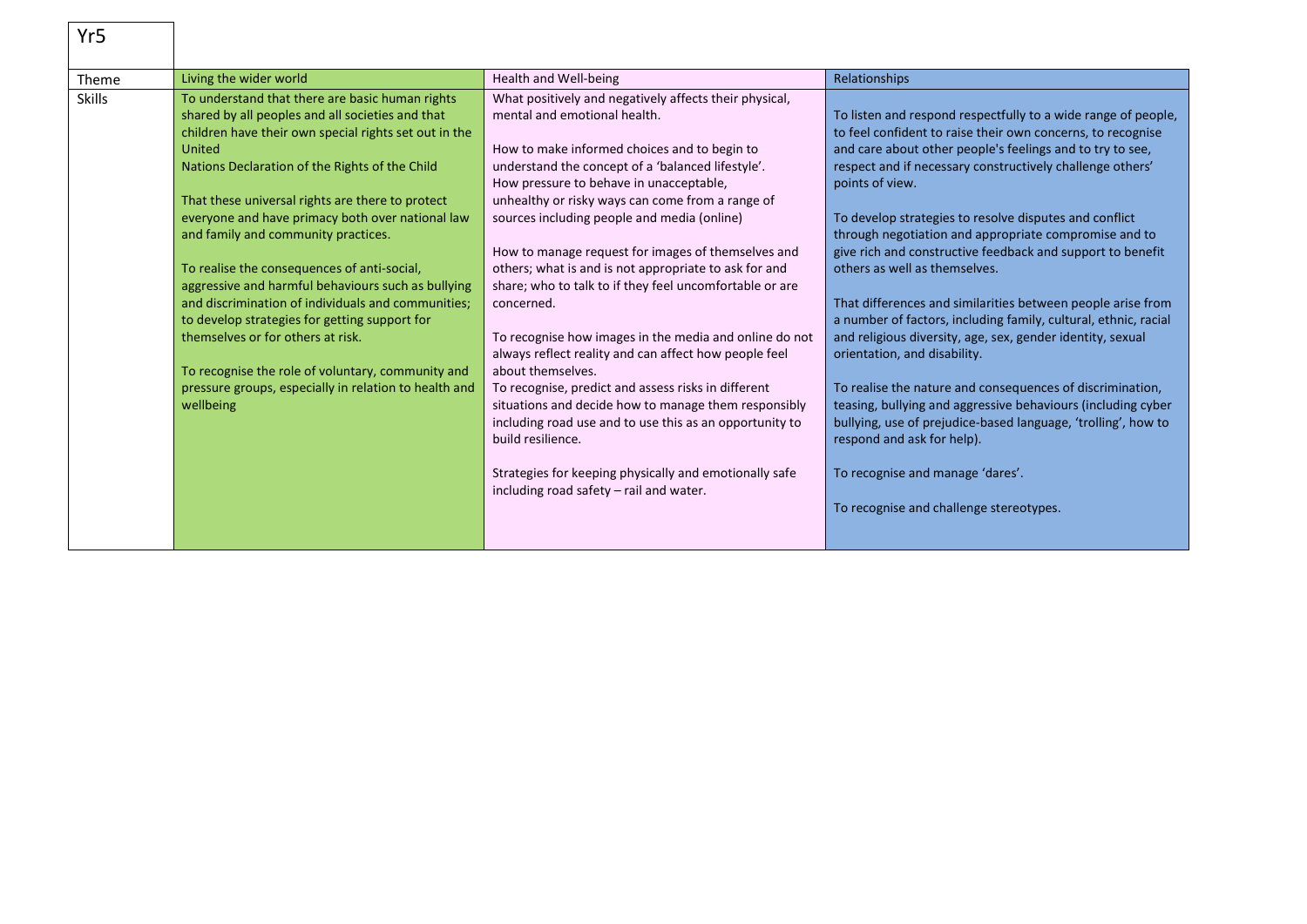| Yr5           |                                                                                                                                                                                                                                                                                                                                                                                                                                                                                                                                                                                                                                                                                                                                                     |                                                                                                                                                                                                                                                                                                                                                                                                                                                                                                                                                                                                                                                                                                                                                                                                                                                                                                                                                                               |                                                                                                                                                                                                                                                                                                                                                                                                                                                                                                                                                                                                                                                                                                                                                                                                                                                                                                                                                                                                                                        |
|---------------|-----------------------------------------------------------------------------------------------------------------------------------------------------------------------------------------------------------------------------------------------------------------------------------------------------------------------------------------------------------------------------------------------------------------------------------------------------------------------------------------------------------------------------------------------------------------------------------------------------------------------------------------------------------------------------------------------------------------------------------------------------|-------------------------------------------------------------------------------------------------------------------------------------------------------------------------------------------------------------------------------------------------------------------------------------------------------------------------------------------------------------------------------------------------------------------------------------------------------------------------------------------------------------------------------------------------------------------------------------------------------------------------------------------------------------------------------------------------------------------------------------------------------------------------------------------------------------------------------------------------------------------------------------------------------------------------------------------------------------------------------|----------------------------------------------------------------------------------------------------------------------------------------------------------------------------------------------------------------------------------------------------------------------------------------------------------------------------------------------------------------------------------------------------------------------------------------------------------------------------------------------------------------------------------------------------------------------------------------------------------------------------------------------------------------------------------------------------------------------------------------------------------------------------------------------------------------------------------------------------------------------------------------------------------------------------------------------------------------------------------------------------------------------------------------|
| Theme         | Living the wider world                                                                                                                                                                                                                                                                                                                                                                                                                                                                                                                                                                                                                                                                                                                              | Health and Well-being                                                                                                                                                                                                                                                                                                                                                                                                                                                                                                                                                                                                                                                                                                                                                                                                                                                                                                                                                         | Relationships                                                                                                                                                                                                                                                                                                                                                                                                                                                                                                                                                                                                                                                                                                                                                                                                                                                                                                                                                                                                                          |
| <b>Skills</b> | To understand that there are basic human rights<br>shared by all peoples and all societies and that<br>children have their own special rights set out in the<br>United<br>Nations Declaration of the Rights of the Child<br>That these universal rights are there to protect<br>everyone and have primacy both over national law<br>and family and community practices.<br>To realise the consequences of anti-social,<br>aggressive and harmful behaviours such as bullying<br>and discrimination of individuals and communities;<br>to develop strategies for getting support for<br>themselves or for others at risk.<br>To recognise the role of voluntary, community and<br>pressure groups, especially in relation to health and<br>wellbeing | What positively and negatively affects their physical,<br>mental and emotional health.<br>How to make informed choices and to begin to<br>understand the concept of a 'balanced lifestyle'.<br>How pressure to behave in unacceptable,<br>unhealthy or risky ways can come from a range of<br>sources including people and media (online)<br>How to manage request for images of themselves and<br>others; what is and is not appropriate to ask for and<br>share; who to talk to if they feel uncomfortable or are<br>concerned.<br>To recognise how images in the media and online do not<br>always reflect reality and can affect how people feel<br>about themselves.<br>To recognise, predict and assess risks in different<br>situations and decide how to manage them responsibly<br>including road use and to use this as an opportunity to<br>build resilience.<br>Strategies for keeping physically and emotionally safe<br>including road safety – rail and water. | To listen and respond respectfully to a wide range of people,<br>to feel confident to raise their own concerns, to recognise<br>and care about other people's feelings and to try to see,<br>respect and if necessary constructively challenge others'<br>points of view.<br>To develop strategies to resolve disputes and conflict<br>through negotiation and appropriate compromise and to<br>give rich and constructive feedback and support to benefit<br>others as well as themselves.<br>That differences and similarities between people arise from<br>a number of factors, including family, cultural, ethnic, racial<br>and religious diversity, age, sex, gender identity, sexual<br>orientation, and disability.<br>To realise the nature and consequences of discrimination,<br>teasing, bullying and aggressive behaviours (including cyber<br>bullying, use of prejudice-based language, 'trolling', how to<br>respond and ask for help).<br>To recognise and manage 'dares'.<br>To recognise and challenge stereotypes. |